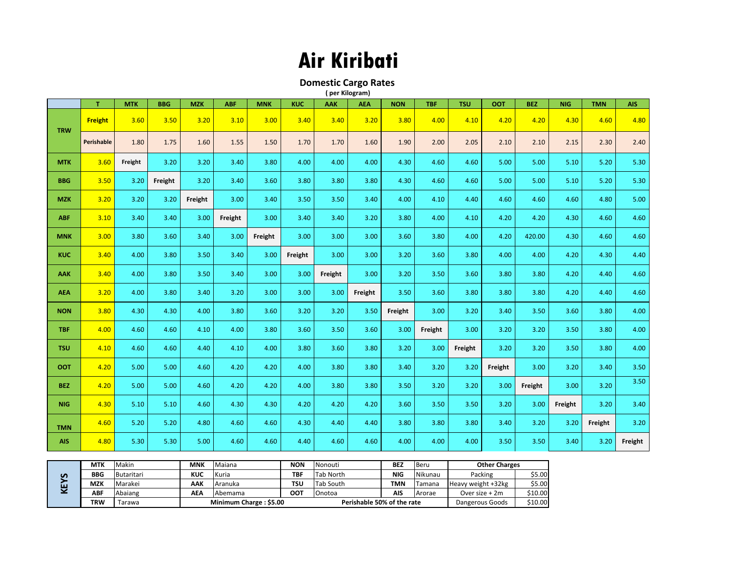## **Air Kiribati**

**Domestic Cargo Rates** 

|  | (per Kilogram) |  |
|--|----------------|--|
|  |                |  |

|            | T              | <b>MTK</b> | <b>BBG</b> | <b>MZK</b> | <b>ABF</b> | <b>MNK</b> | <b>KUC</b> | <b>AAK</b> | <b>AEA</b> | <b>NON</b> | <b>TBF</b> | <b>TSU</b> | <b>OOT</b> | <b>BEZ</b> | <b>NIG</b> | <b>TMN</b> | <b>AIS</b> |
|------------|----------------|------------|------------|------------|------------|------------|------------|------------|------------|------------|------------|------------|------------|------------|------------|------------|------------|
| <b>TRW</b> | <b>Freight</b> | 3.60       | 3.50       | 3.20       | 3.10       | 3.00       | 3.40       | 3.40       | 3.20       | 3.80       | 4.00       | 4.10       | 4.20       | 4.20       | 4.30       | 4.60       | 4.80       |
|            | Perishable     | 1.80       | 1.75       | 1.60       | 1.55       | 1.50       | 1.70       | 1.70       | 1.60       | 1.90       | 2.00       | 2.05       | 2.10       | 2.10       | 2.15       | 2.30       | 2.40       |
| <b>MTK</b> | 3.60           | Freight    | 3.20       | 3.20       | 3.40       | 3.80       | 4.00       | 4.00       | 4.00       | 4.30       | 4.60       | 4.60       | 5.00       | 5.00       | 5.10       | 5.20       | 5.30       |
| <b>BBG</b> | 3.50           | 3.20       | Freight    | 3.20       | 3.40       | 3.60       | 3.80       | 3.80       | 3.80       | 4.30       | 4.60       | 4.60       | 5.00       | 5.00       | 5.10       | 5.20       | 5.30       |
| <b>MZK</b> | 3.20           | 3.20       | 3.20       | Freight    | 3.00       | 3.40       | 3.50       | 3.50       | 3.40       | 4.00       | 4.10       | 4.40       | 4.60       | 4.60       | 4.60       | 4.80       | 5.00       |
| <b>ABF</b> | 3.10           | 3.40       | 3.40       | 3.00       | Freight    | 3.00       | 3.40       | 3.40       | 3.20       | 3.80       | 4.00       | 4.10       | 4.20       | 4.20       | 4.30       | 4.60       | 4.60       |
| <b>MNK</b> | 3.00           | 3.80       | 3.60       | 3.40       | 3.00       | Freight    | 3.00       | 3.00       | 3.00       | 3.60       | 3.80       | 4.00       | 4.20       | 420.00     | 4.30       | 4.60       | 4.60       |
| <b>KUC</b> | 3.40           | 4.00       | 3.80       | 3.50       | 3.40       | 3.00       | Freight    | 3.00       | 3.00       | 3.20       | 3.60       | 3.80       | 4.00       | 4.00       | 4.20       | 4.30       | 4.40       |
| <b>AAK</b> | 3.40           | 4.00       | 3.80       | 3.50       | 3.40       | 3.00       | 3.00       | Freight    | 3.00       | 3.20       | 3.50       | 3.60       | 3.80       | 3.80       | 4.20       | 4.40       | 4.60       |
| <b>AEA</b> | 3.20           | 4.00       | 3.80       | 3.40       | 3.20       | 3.00       | 3.00       | 3.00       | Freight    | 3.50       | 3.60       | 3.80       | 3.80       | 3.80       | 4.20       | 4.40       | 4.60       |
| <b>NON</b> | 3.80           | 4.30       | 4.30       | 4.00       | 3.80       | 3.60       | 3.20       | 3.20       | 3.50       | Freight    | 3.00       | 3.20       | 3.40       | 3.50       | 3.60       | 3.80       | 4.00       |
| <b>TBF</b> | 4.00           | 4.60       | 4.60       | 4.10       | 4.00       | 3.80       | 3.60       | 3.50       | 3.60       | 3.00       | Freight    | 3.00       | 3.20       | 3.20       | 3.50       | 3.80       | 4.00       |
| <b>TSU</b> | 4.10           | 4.60       | 4.60       | 4.40       | 4.10       | 4.00       | 3.80       | 3.60       | 3.80       | 3.20       | 3.00       | Freight    | 3.20       | 3.20       | 3.50       | 3.80       | 4.00       |
| <b>OOT</b> | 4.20           | 5.00       | 5.00       | 4.60       | 4.20       | 4.20       | 4.00       | 3.80       | 3.80       | 3.40       | 3.20       | 3.20       | Freight    | 3.00       | 3.20       | 3.40       | 3.50       |
| <b>BEZ</b> | 4.20           | 5.00       | 5.00       | 4.60       | 4.20       | 4.20       | 4.00       | 3.80       | 3.80       | 3.50       | 3.20       | 3.20       | 3.00       | Freight    | 3.00       | 3.20       | 3.50       |
| <b>NIG</b> | 4.30           | 5.10       | 5.10       | 4.60       | 4.30       | 4.30       | 4.20       | 4.20       | 4.20       | 3.60       | 3.50       | 3.50       | 3.20       | 3.00       | Freight    | 3.20       | 3.40       |
| <b>TMN</b> | 4.60           | 5.20       | 5.20       | 4.80       | 4.60       | 4.60       | 4.30       | 4.40       | 4.40       | 3.80       | 3.80       | 3.80       | 3.40       | 3.20       | 3.20       | Freight    | 3.20       |
| <b>AIS</b> | 4.80           | 5.30       | 5.30       | 5.00       | 4.60       | 4.60       | 4.40       | 4.60       | 4.60       | 4.00       | 4.00       | 4.00       | 3.50       | 3.50       | 3.40       | 3.20       | Freight    |

| S<br>∽ | <b>MTK</b> | Makin      | <b>MNK</b> | Maiana                 | <b>NON</b>                 | Nonouti   | <b>BEZ</b> | l Beru          | <b>Other Charges</b> |         |
|--------|------------|------------|------------|------------------------|----------------------------|-----------|------------|-----------------|----------------------|---------|
|        | <b>BBG</b> | Butaritari | KUC        | Kuria                  | TBF                        | Tab North | <b>NIG</b> | Nikunau         | Packing              | \$5.00  |
|        | <b>MZK</b> | Marakei    | AAK        | Aranuka                | TSU                        | Tab South | <b>TMN</b> | Tamana          | Heavy weight +32kg   | \$5.00  |
|        | ABF        | Abaiang    | АΕΑ        | Abemama                | <b>OOT</b>                 | Onotoa    | <b>AIS</b> | Arorae          | Over size $+2m$      | \$10.00 |
|        | TRW        | arawa      |            | Minimum Charge: \$5.00 | Perishable 50% of the rate |           |            | Dangerous Goods | \$10.00              |         |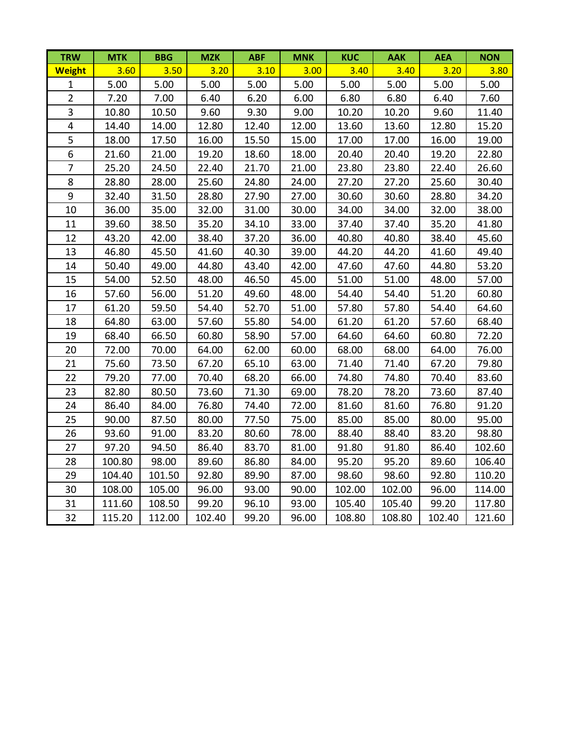| <b>TRW</b>              | <b>MTK</b> | <b>BBG</b> | <b>MZK</b> | <b>ABF</b> | <b>MNK</b> | <b>KUC</b> | <b>AAK</b> | <b>AEA</b> | <b>NON</b> |
|-------------------------|------------|------------|------------|------------|------------|------------|------------|------------|------------|
| <b>Weight</b>           | 3.60       | 3.50       | 3.20       | 3.10       | 3.00       | 3.40       | 3.40       | 3.20       | 3.80       |
| $\mathbf{1}$            | 5.00       | 5.00       | 5.00       | 5.00       | 5.00       | 5.00       | 5.00       | 5.00       | 5.00       |
| $\overline{2}$          | 7.20       | 7.00       | 6.40       | 6.20       | 6.00       | 6.80       | 6.80       | 6.40       | 7.60       |
| 3                       | 10.80      | 10.50      | 9.60       | 9.30       | 9.00       | 10.20      | 10.20      | 9.60       | 11.40      |
| $\overline{\mathbf{4}}$ | 14.40      | 14.00      | 12.80      | 12.40      | 12.00      | 13.60      | 13.60      | 12.80      | 15.20      |
| 5                       | 18.00      | 17.50      | 16.00      | 15.50      | 15.00      | 17.00      | 17.00      | 16.00      | 19.00      |
| 6                       | 21.60      | 21.00      | 19.20      | 18.60      | 18.00      | 20.40      | 20.40      | 19.20      | 22.80      |
| $\overline{7}$          | 25.20      | 24.50      | 22.40      | 21.70      | 21.00      | 23.80      | 23.80      | 22.40      | 26.60      |
| 8                       | 28.80      | 28.00      | 25.60      | 24.80      | 24.00      | 27.20      | 27.20      | 25.60      | 30.40      |
| $\boldsymbol{9}$        | 32.40      | 31.50      | 28.80      | 27.90      | 27.00      | 30.60      | 30.60      | 28.80      | 34.20      |
| 10                      | 36.00      | 35.00      | 32.00      | 31.00      | 30.00      | 34.00      | 34.00      | 32.00      | 38.00      |
| 11                      | 39.60      | 38.50      | 35.20      | 34.10      | 33.00      | 37.40      | 37.40      | 35.20      | 41.80      |
| 12                      | 43.20      | 42.00      | 38.40      | 37.20      | 36.00      | 40.80      | 40.80      | 38.40      | 45.60      |
| 13                      | 46.80      | 45.50      | 41.60      | 40.30      | 39.00      | 44.20      | 44.20      | 41.60      | 49.40      |
| 14                      | 50.40      | 49.00      | 44.80      | 43.40      | 42.00      | 47.60      | 47.60      | 44.80      | 53.20      |
| 15                      | 54.00      | 52.50      | 48.00      | 46.50      | 45.00      | 51.00      | 51.00      | 48.00      | 57.00      |
| 16                      | 57.60      | 56.00      | 51.20      | 49.60      | 48.00      | 54.40      | 54.40      | 51.20      | 60.80      |
| 17                      | 61.20      | 59.50      | 54.40      | 52.70      | 51.00      | 57.80      | 57.80      | 54.40      | 64.60      |
| 18                      | 64.80      | 63.00      | 57.60      | 55.80      | 54.00      | 61.20      | 61.20      | 57.60      | 68.40      |
| 19                      | 68.40      | 66.50      | 60.80      | 58.90      | 57.00      | 64.60      | 64.60      | 60.80      | 72.20      |
| 20                      | 72.00      | 70.00      | 64.00      | 62.00      | 60.00      | 68.00      | 68.00      | 64.00      | 76.00      |
| 21                      | 75.60      | 73.50      | 67.20      | 65.10      | 63.00      | 71.40      | 71.40      | 67.20      | 79.80      |
| 22                      | 79.20      | 77.00      | 70.40      | 68.20      | 66.00      | 74.80      | 74.80      | 70.40      | 83.60      |
| 23                      | 82.80      | 80.50      | 73.60      | 71.30      | 69.00      | 78.20      | 78.20      | 73.60      | 87.40      |
| 24                      | 86.40      | 84.00      | 76.80      | 74.40      | 72.00      | 81.60      | 81.60      | 76.80      | 91.20      |
| 25                      | 90.00      | 87.50      | 80.00      | 77.50      | 75.00      | 85.00      | 85.00      | 80.00      | 95.00      |
| 26                      | 93.60      | 91.00      | 83.20      | 80.60      | 78.00      | 88.40      | 88.40      | 83.20      | 98.80      |
| 27                      | 97.20      | 94.50      | 86.40      | 83.70      | 81.00      | 91.80      | 91.80      | 86.40      | 102.60     |
| 28                      | 100.80     | 98.00      | 89.60      | 86.80      | 84.00      | 95.20      | 95.20      | 89.60      | 106.40     |
| 29                      | 104.40     | 101.50     | 92.80      | 89.90      | 87.00      | 98.60      | 98.60      | 92.80      | 110.20     |
| 30                      | 108.00     | 105.00     | 96.00      | 93.00      | 90.00      | 102.00     | 102.00     | 96.00      | 114.00     |
| 31                      | 111.60     | 108.50     | 99.20      | 96.10      | 93.00      | 105.40     | 105.40     | 99.20      | 117.80     |
| 32                      | 115.20     | 112.00     | 102.40     | 99.20      | 96.00      | 108.80     | 108.80     | 102.40     | 121.60     |